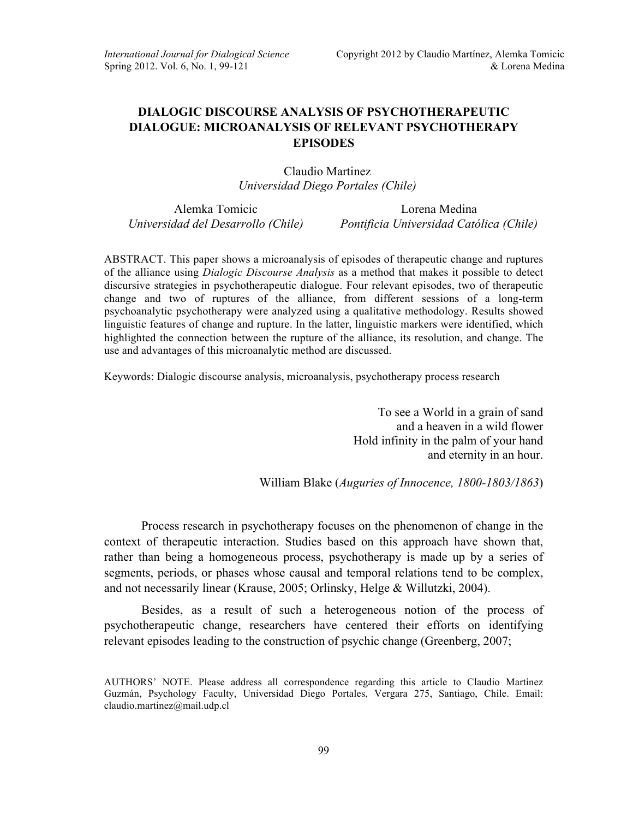## **DIALOGIC DISCOURSE ANALYSIS OF PSYCHOTHERAPEUTIC DIALOGUE: MICROANALYSIS OF RELEVANT PSYCHOTHERAPY EPISODES**

Claudio Martinez *Universidad Diego Portales (Chile)*

Alemka Tomicic Lorena Medina

*Universidad del Desarrollo (Chile) Pontificia Universidad Católica (Chile)*

ABSTRACT. This paper shows a microanalysis of episodes of therapeutic change and ruptures of the alliance using *Dialogic Discourse Analysis* as a method that makes it possible to detect discursive strategies in psychotherapeutic dialogue. Four relevant episodes, two of therapeutic change and two of ruptures of the alliance, from different sessions of a long-term psychoanalytic psychotherapy were analyzed using a qualitative methodology. Results showed linguistic features of change and rupture. In the latter, linguistic markers were identified, which highlighted the connection between the rupture of the alliance, its resolution, and change. The use and advantages of this microanalytic method are discussed.

Keywords: Dialogic discourse analysis, microanalysis, psychotherapy process research

To see a World in a grain of sand and a heaven in a wild flower Hold infinity in the palm of your hand and eternity in an hour.

William Blake (*Auguries of Innocence, 1800-1803/1863*)

Process research in psychotherapy focuses on the phenomenon of change in the context of therapeutic interaction. Studies based on this approach have shown that, rather than being a homogeneous process, psychotherapy is made up by a series of segments, periods, or phases whose causal and temporal relations tend to be complex, and not necessarily linear (Krause, 2005; Orlinsky, Helge & Willutzki, 2004).

Besides, as a result of such a heterogeneous notion of the process of psychotherapeutic change, researchers have centered their efforts on identifying relevant episodes leading to the construction of psychic change (Greenberg, 2007;

AUTHORS' NOTE. Please address all correspondence regarding this article to Claudio Martínez Guzmán, Psychology Faculty, Universidad Diego Portales, Vergara 275, Santiago, Chile. Email: claudio.martinez@mail.udp.cl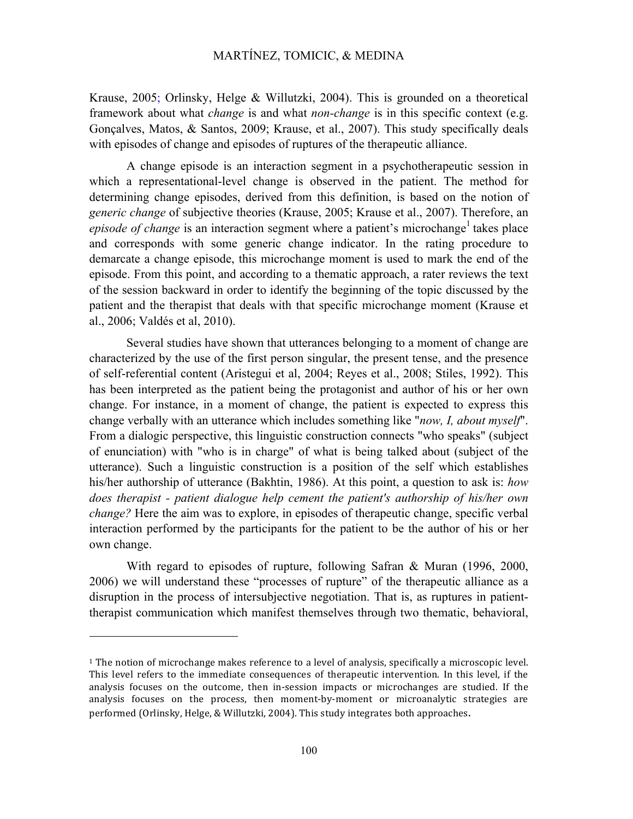Krause, 2005; Orlinsky, Helge & Willutzki, 2004). This is grounded on a theoretical framework about what *change* is and what *non-change* is in this specific context (e.g. Gonçalves, Matos, & Santos, 2009; Krause, et al., 2007). This study specifically deals with episodes of change and episodes of ruptures of the therapeutic alliance.

A change episode is an interaction segment in a psychotherapeutic session in which a representational-level change is observed in the patient. The method for determining change episodes, derived from this definition, is based on the notion of *generic change* of subjective theories (Krause, 2005; Krause et al., 2007). Therefore, an *episode of change* is an interaction segment where a patient's microchange<sup>1</sup> takes place and corresponds with some generic change indicator. In the rating procedure to demarcate a change episode, this microchange moment is used to mark the end of the episode. From this point, and according to a thematic approach, a rater reviews the text of the session backward in order to identify the beginning of the topic discussed by the patient and the therapist that deals with that specific microchange moment (Krause et al., 2006; Valdés et al, 2010).

Several studies have shown that utterances belonging to a moment of change are characterized by the use of the first person singular, the present tense, and the presence of self-referential content (Aristegui et al, 2004; Reyes et al., 2008; Stiles, 1992). This has been interpreted as the patient being the protagonist and author of his or her own change. For instance, in a moment of change, the patient is expected to express this change verbally with an utterance which includes something like "*now, I, about myself*". From a dialogic perspective, this linguistic construction connects "who speaks" (subject of enunciation) with "who is in charge" of what is being talked about (subject of the utterance). Such a linguistic construction is a position of the self which establishes his/her authorship of utterance (Bakhtin, 1986). At this point, a question to ask is: *how does therapist - patient dialogue help cement the patient's authorship of his/her own change?* Here the aim was to explore, in episodes of therapeutic change, specific verbal interaction performed by the participants for the patient to be the author of his or her own change.

With regard to episodes of rupture, following Safran & Muran (1996, 2000, 2006) we will understand these "processes of rupture" of the therapeutic alliance as a disruption in the process of intersubjective negotiation. That is, as ruptures in patienttherapist communication which manifest themselves through two thematic, behavioral,

 $\overline{a}$ 

 $1$  The notion of microchange makes reference to a level of analysis, specifically a microscopic level. This level refers to the immediate consequences of therapeutic intervention. In this level, if the analysis focuses on the outcome, then in-session impacts or microchanges are studied. If the analysis focuses on the process, then moment-by-moment or microanalytic strategies are performed (Orlinsky, Helge, & Willutzki, 2004). This study integrates both approaches.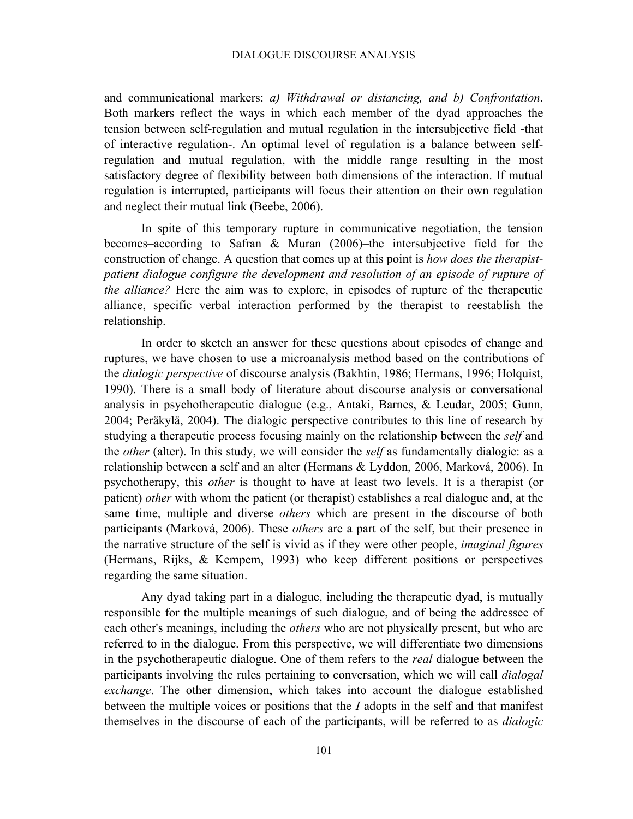#### DIALOGUE DISCOURSE ANALYSIS

and communicational markers: *a) Withdrawal or distancing, and b) Confrontation*. Both markers reflect the ways in which each member of the dyad approaches the tension between self-regulation and mutual regulation in the intersubjective field -that of interactive regulation-. An optimal level of regulation is a balance between selfregulation and mutual regulation, with the middle range resulting in the most satisfactory degree of flexibility between both dimensions of the interaction. If mutual regulation is interrupted, participants will focus their attention on their own regulation and neglect their mutual link (Beebe, 2006).

In spite of this temporary rupture in communicative negotiation, the tension becomes–according to Safran & Muran (2006)–the intersubjective field for the construction of change. A question that comes up at this point is *how does the therapistpatient dialogue configure the development and resolution of an episode of rupture of the alliance?* Here the aim was to explore, in episodes of rupture of the therapeutic alliance, specific verbal interaction performed by the therapist to reestablish the relationship.

In order to sketch an answer for these questions about episodes of change and ruptures, we have chosen to use a microanalysis method based on the contributions of the *dialogic perspective* of discourse analysis (Bakhtin, 1986; Hermans, 1996; Holquist, 1990). There is a small body of literature about discourse analysis or conversational analysis in psychotherapeutic dialogue (e.g., Antaki, Barnes, & Leudar, 2005; Gunn, 2004; Peräkylä, 2004). The dialogic perspective contributes to this line of research by studying a therapeutic process focusing mainly on the relationship between the *self* and the *other* (alter). In this study, we will consider the *self* as fundamentally dialogic: as a relationship between a self and an alter (Hermans & Lyddon, 2006, Marková, 2006). In psychotherapy, this *other* is thought to have at least two levels. It is a therapist (or patient) *other* with whom the patient (or therapist) establishes a real dialogue and, at the same time, multiple and diverse *others* which are present in the discourse of both participants (Marková, 2006). These *others* are a part of the self, but their presence in the narrative structure of the self is vivid as if they were other people, *imaginal figures* (Hermans, Rijks, & Kempem, 1993) who keep different positions or perspectives regarding the same situation.

Any dyad taking part in a dialogue, including the therapeutic dyad, is mutually responsible for the multiple meanings of such dialogue, and of being the addressee of each other's meanings, including the *others* who are not physically present, but who are referred to in the dialogue. From this perspective, we will differentiate two dimensions in the psychotherapeutic dialogue. One of them refers to the *real* dialogue between the participants involving the rules pertaining to conversation, which we will call *dialogal exchange*. The other dimension, which takes into account the dialogue established between the multiple voices or positions that the *I* adopts in the self and that manifest themselves in the discourse of each of the participants, will be referred to as *dialogic*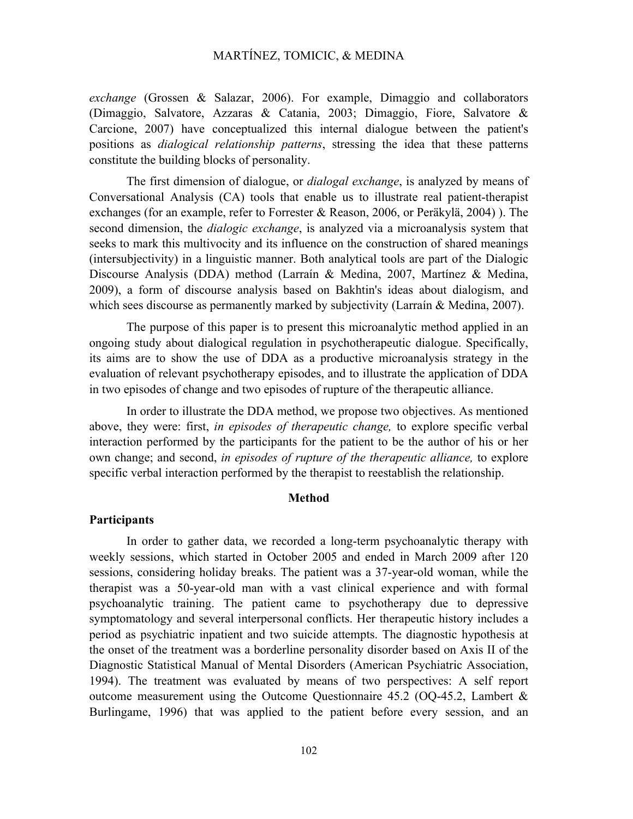*exchange* (Grossen & Salazar, 2006). For example, Dimaggio and collaborators (Dimaggio, Salvatore, Azzaras & Catania, 2003; Dimaggio, Fiore, Salvatore & Carcione, 2007) have conceptualized this internal dialogue between the patient's positions as *dialogical relationship patterns*, stressing the idea that these patterns constitute the building blocks of personality.

The first dimension of dialogue, or *dialogal exchange*, is analyzed by means of Conversational Analysis (CA) tools that enable us to illustrate real patient-therapist exchanges (for an example, refer to Forrester & Reason, 2006, or Peräkylä, 2004) ). The second dimension, the *dialogic exchange*, is analyzed via a microanalysis system that seeks to mark this multivocity and its influence on the construction of shared meanings (intersubjectivity) in a linguistic manner. Both analytical tools are part of the Dialogic Discourse Analysis (DDA) method (Larraín & Medina, 2007, Martínez & Medina, 2009), a form of discourse analysis based on Bakhtin's ideas about dialogism, and which sees discourse as permanently marked by subjectivity (Larraín & Medina, 2007).

The purpose of this paper is to present this microanalytic method applied in an ongoing study about dialogical regulation in psychotherapeutic dialogue. Specifically, its aims are to show the use of DDA as a productive microanalysis strategy in the evaluation of relevant psychotherapy episodes, and to illustrate the application of DDA in two episodes of change and two episodes of rupture of the therapeutic alliance.

In order to illustrate the DDA method, we propose two objectives. As mentioned above, they were: first, *in episodes of therapeutic change,* to explore specific verbal interaction performed by the participants for the patient to be the author of his or her own change; and second, *in episodes of rupture of the therapeutic alliance,* to explore specific verbal interaction performed by the therapist to reestablish the relationship.

#### **Method**

### **Participants**

In order to gather data, we recorded a long-term psychoanalytic therapy with weekly sessions, which started in October 2005 and ended in March 2009 after 120 sessions, considering holiday breaks. The patient was a 37-year-old woman, while the therapist was a 50-year-old man with a vast clinical experience and with formal psychoanalytic training. The patient came to psychotherapy due to depressive symptomatology and several interpersonal conflicts. Her therapeutic history includes a period as psychiatric inpatient and two suicide attempts. The diagnostic hypothesis at the onset of the treatment was a borderline personality disorder based on Axis II of the Diagnostic Statistical Manual of Mental Disorders (American Psychiatric Association, 1994). The treatment was evaluated by means of two perspectives: A self report outcome measurement using the Outcome Questionnaire 45.2 (OQ-45.2, Lambert & Burlingame, 1996) that was applied to the patient before every session, and an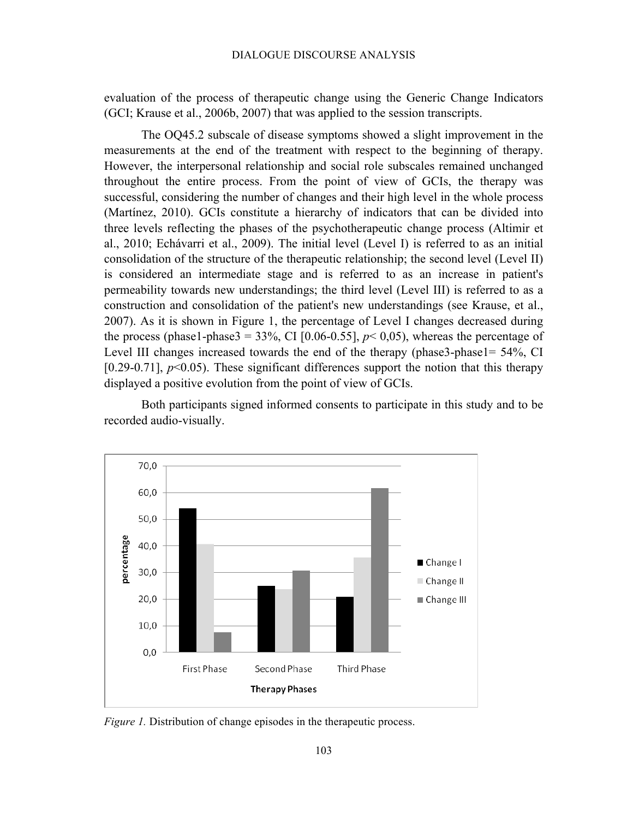evaluation of the process of therapeutic change using the Generic Change Indicators (GCI; Krause et al., 2006b, 2007) that was applied to the session transcripts.

The OQ45.2 subscale of disease symptoms showed a slight improvement in the measurements at the end of the treatment with respect to the beginning of therapy. However, the interpersonal relationship and social role subscales remained unchanged throughout the entire process. From the point of view of GCIs, the therapy was successful, considering the number of changes and their high level in the whole process (Martínez, 2010). GCIs constitute a hierarchy of indicators that can be divided into three levels reflecting the phases of the psychotherapeutic change process (Altimir et al., 2010; Echávarri et al., 2009). The initial level (Level I) is referred to as an initial consolidation of the structure of the therapeutic relationship; the second level (Level II) is considered an intermediate stage and is referred to as an increase in patient's permeability towards new understandings; the third level (Level III) is referred to as a construction and consolidation of the patient's new understandings (see Krause, et al., 2007). As it is shown in Figure 1, the percentage of Level I changes decreased during the process (phase1-phase3 = 33%, CI [0.06-0.55],  $p$ < 0,05), whereas the percentage of Level III changes increased towards the end of the therapy (phase3-phase1= 54%, CI [0.29-0.71],  $p<0.05$ ). These significant differences support the notion that this therapy displayed a positive evolution from the point of view of GCIs.

Both participants signed informed consents to participate in this study and to be recorded audio-visually.



*Figure 1.* Distribution of change episodes in the therapeutic process.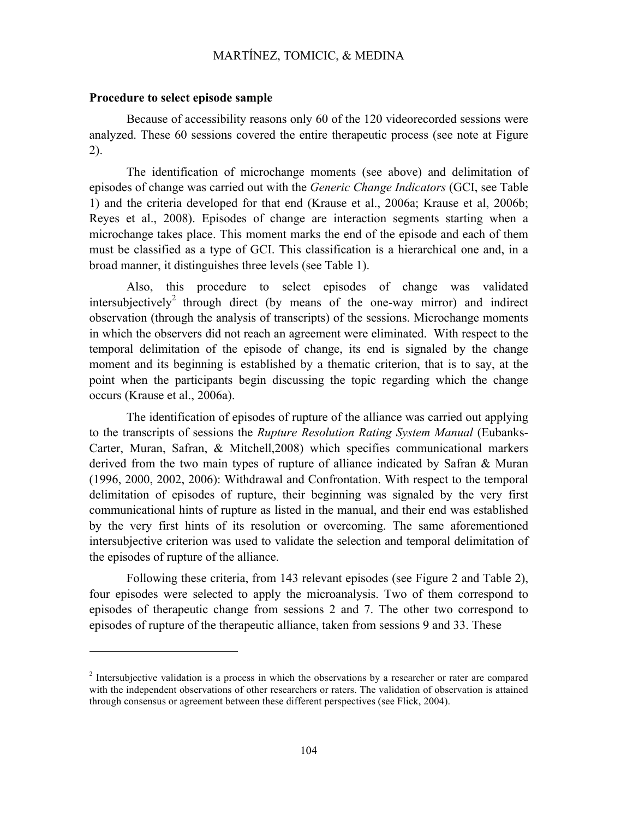#### **Procedure to select episode sample**

 $\overline{a}$ 

Because of accessibility reasons only 60 of the 120 videorecorded sessions were analyzed. These 60 sessions covered the entire therapeutic process (see note at Figure 2).

The identification of microchange moments (see above) and delimitation of episodes of change was carried out with the *Generic Change Indicators* (GCI, see Table 1) and the criteria developed for that end (Krause et al., 2006a; Krause et al, 2006b; Reyes et al., 2008). Episodes of change are interaction segments starting when a microchange takes place. This moment marks the end of the episode and each of them must be classified as a type of GCI. This classification is a hierarchical one and, in a broad manner, it distinguishes three levels (see Table 1).

Also, this procedure to select episodes of change was validated intersubjectively<sup>2</sup> through direct (by means of the one-way mirror) and indirect observation (through the analysis of transcripts) of the sessions. Microchange moments in which the observers did not reach an agreement were eliminated. With respect to the temporal delimitation of the episode of change, its end is signaled by the change moment and its beginning is established by a thematic criterion, that is to say, at the point when the participants begin discussing the topic regarding which the change occurs (Krause et al., 2006a).

The identification of episodes of rupture of the alliance was carried out applying to the transcripts of sessions the *Rupture Resolution Rating System Manual* (Eubanks-Carter, Muran, Safran, & Mitchell,2008) which specifies communicational markers derived from the two main types of rupture of alliance indicated by Safran & Muran (1996, 2000, 2002, 2006): Withdrawal and Confrontation. With respect to the temporal delimitation of episodes of rupture, their beginning was signaled by the very first communicational hints of rupture as listed in the manual, and their end was established by the very first hints of its resolution or overcoming. The same aforementioned intersubjective criterion was used to validate the selection and temporal delimitation of the episodes of rupture of the alliance.

Following these criteria, from 143 relevant episodes (see Figure 2 and Table 2), four episodes were selected to apply the microanalysis. Two of them correspond to episodes of therapeutic change from sessions 2 and 7. The other two correspond to episodes of rupture of the therapeutic alliance, taken from sessions 9 and 33. These

<sup>&</sup>lt;sup>2</sup> Intersubiective validation is a process in which the observations by a researcher or rater are compared with the independent observations of other researchers or raters. The validation of observation is attained through consensus or agreement between these different perspectives (see Flick, 2004).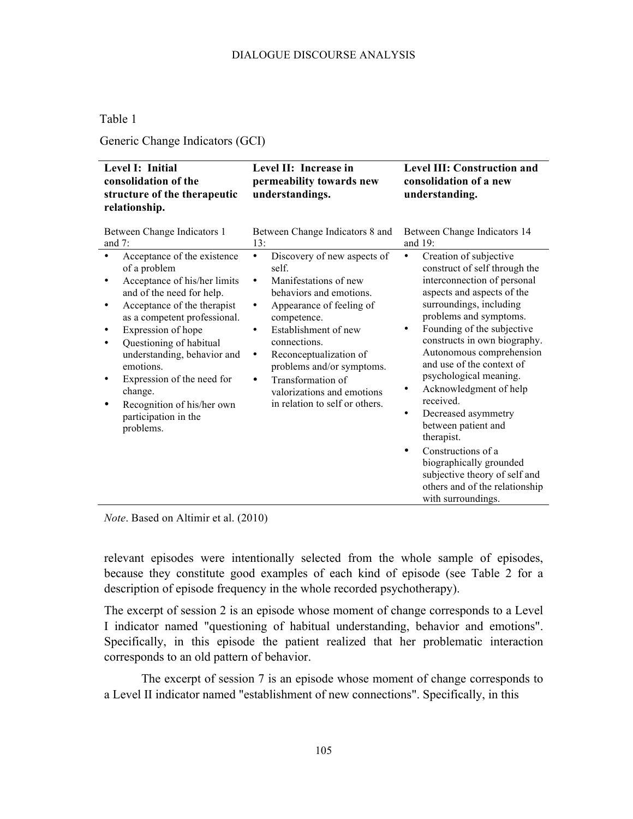## Table 1

Generic Change Indicators (GCI)

| Level I: Initial<br>consolidation of the<br>structure of the therapeutic<br>relationship.                                                                                                                                                                                                                                                                                                       | Level II: Increase in<br>permeability towards new<br>understandings.                                                                                                                                                                                                                                                                                                  | <b>Level III: Construction and</b><br>consolidation of a new<br>understanding.                                                                                                                                                                                                                                                                                                                                                                                                                                                                                                         |
|-------------------------------------------------------------------------------------------------------------------------------------------------------------------------------------------------------------------------------------------------------------------------------------------------------------------------------------------------------------------------------------------------|-----------------------------------------------------------------------------------------------------------------------------------------------------------------------------------------------------------------------------------------------------------------------------------------------------------------------------------------------------------------------|----------------------------------------------------------------------------------------------------------------------------------------------------------------------------------------------------------------------------------------------------------------------------------------------------------------------------------------------------------------------------------------------------------------------------------------------------------------------------------------------------------------------------------------------------------------------------------------|
| Between Change Indicators 1<br>and $7$ :                                                                                                                                                                                                                                                                                                                                                        | Between Change Indicators 8 and<br>13:                                                                                                                                                                                                                                                                                                                                | Between Change Indicators 14<br>and $19$ :                                                                                                                                                                                                                                                                                                                                                                                                                                                                                                                                             |
| Acceptance of the existence<br>of a problem<br>Acceptance of his/her limits<br>and of the need for help.<br>Acceptance of the therapist<br>٠<br>as a competent professional.<br>Expression of hope<br>Questioning of habitual<br>understanding, behavior and<br>emotions.<br>Expression of the need for<br>٠<br>change.<br>Recognition of his/her own<br>٠<br>participation in the<br>problems. | Discovery of new aspects of<br>٠<br>self.<br>Manifestations of new<br>$\bullet$<br>behaviors and emotions.<br>Appearance of feeling of<br>٠<br>competence.<br>Establishment of new<br>٠<br>connections.<br>Reconceptualization of<br>٠<br>problems and/or symptoms.<br>Transformation of<br>$\bullet$<br>valorizations and emotions<br>in relation to self or others. | Creation of subjective<br>٠<br>construct of self through the<br>interconnection of personal<br>aspects and aspects of the<br>surroundings, including<br>problems and symptoms.<br>Founding of the subjective<br>constructs in own biography.<br>Autonomous comprehension<br>and use of the context of<br>psychological meaning.<br>Acknowledgment of help<br>received.<br>Decreased asymmetry<br>٠<br>between patient and<br>therapist.<br>Constructions of a<br>٠<br>biographically grounded<br>subjective theory of self and<br>others and of the relationship<br>with surroundings. |

*Note*. Based on Altimir et al. (2010)

relevant episodes were intentionally selected from the whole sample of episodes, because they constitute good examples of each kind of episode (see Table 2 for a description of episode frequency in the whole recorded psychotherapy).

The excerpt of session 2 is an episode whose moment of change corresponds to a Level I indicator named "questioning of habitual understanding, behavior and emotions". Specifically, in this episode the patient realized that her problematic interaction corresponds to an old pattern of behavior.

The excerpt of session 7 is an episode whose moment of change corresponds to a Level II indicator named "establishment of new connections". Specifically, in this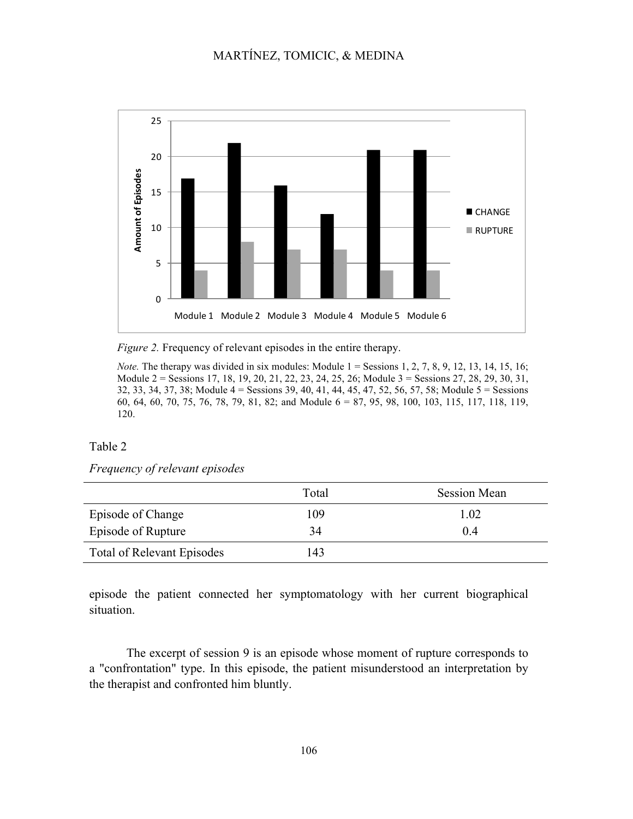

*Figure 2.* Frequency of relevant episodes in the entire therapy.

*Note.* The therapy was divided in six modules: Module  $1 =$  Sessions 1, 2, 7, 8, 9, 12, 13, 14, 15, 16; Module 2 = Sessions 17, 18, 19, 20, 21, 22, 23, 24, 25, 26; Module 3 = Sessions 27, 28, 29, 30, 31, 32, 33, 34, 37, 38; Module 4 = Sessions 39, 40, 41, 44, 45, 47, 52, 56, 57, 58; Module 5 = Sessions 60, 64, 60, 70, 75, 76, 78, 79, 81, 82; and Module 6 = 87, 95, 98, 100, 103, 115, 117, 118, 119, 120.

#### Table 2

## *Frequency of relevant episodes*

|                                   | Total | <b>Session Mean</b> |
|-----------------------------------|-------|---------------------|
| Episode of Change                 | 109   | 1.02                |
| Episode of Rupture                | 34    | 04                  |
| <b>Total of Relevant Episodes</b> | 143   |                     |

episode the patient connected her symptomatology with her current biographical situation.

The excerpt of session 9 is an episode whose moment of rupture corresponds to a "confrontation" type. In this episode, the patient misunderstood an interpretation by the therapist and confronted him bluntly.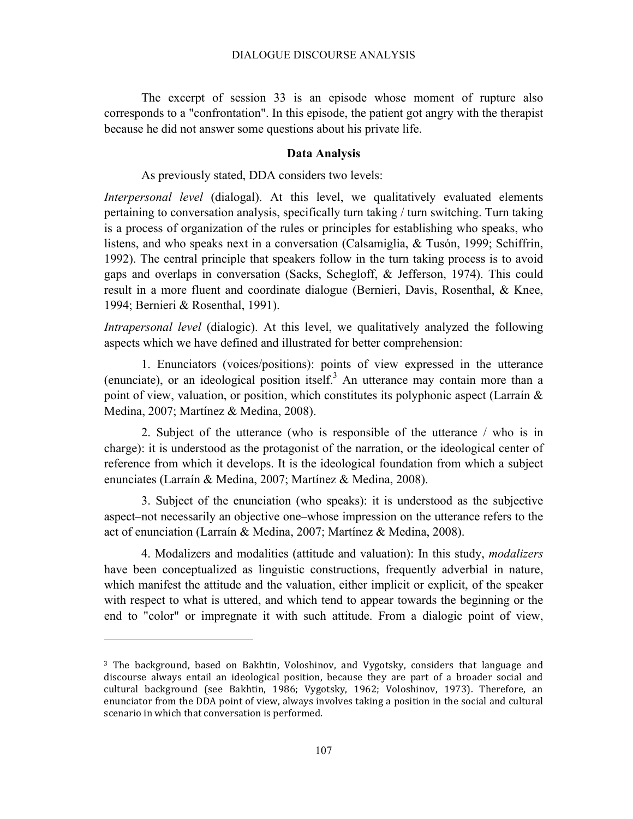The excerpt of session 33 is an episode whose moment of rupture also corresponds to a "confrontation". In this episode, the patient got angry with the therapist because he did not answer some questions about his private life.

#### **Data Analysis**

#### As previously stated, DDA considers two levels:

*Interpersonal level* (dialogal). At this level, we qualitatively evaluated elements pertaining to conversation analysis, specifically turn taking / turn switching. Turn taking is a process of organization of the rules or principles for establishing who speaks, who listens, and who speaks next in a conversation (Calsamiglia, & Tusón, 1999; Schiffrin, 1992). The central principle that speakers follow in the turn taking process is to avoid gaps and overlaps in conversation (Sacks, Schegloff, & Jefferson, 1974). This could result in a more fluent and coordinate dialogue (Bernieri, Davis, Rosenthal, & Knee, 1994; Bernieri & Rosenthal, 1991).

*Intrapersonal level* (dialogic). At this level, we qualitatively analyzed the following aspects which we have defined and illustrated for better comprehension:

1. Enunciators (voices/positions): points of view expressed in the utterance (enunciate), or an ideological position itself.<sup>3</sup> An utterance may contain more than a point of view, valuation, or position, which constitutes its polyphonic aspect (Larraín & Medina, 2007; Martínez & Medina, 2008).

2. Subject of the utterance (who is responsible of the utterance / who is in charge): it is understood as the protagonist of the narration, or the ideological center of reference from which it develops. It is the ideological foundation from which a subject enunciates (Larraín & Medina, 2007; Martínez & Medina, 2008).

3. Subject of the enunciation (who speaks): it is understood as the subjective aspect–not necessarily an objective one–whose impression on the utterance refers to the act of enunciation (Larraín & Medina, 2007; Martínez & Medina, 2008).

4. Modalizers and modalities (attitude and valuation): In this study, *modalizers* have been conceptualized as linguistic constructions, frequently adverbial in nature, which manifest the attitude and the valuation, either implicit or explicit, of the speaker with respect to what is uttered, and which tend to appear towards the beginning or the end to "color" or impregnate it with such attitude. From a dialogic point of view,

j

<sup>&</sup>lt;sup>3</sup> The background, based on Bakhtin, Voloshinov, and Vygotsky, considers that language and discourse always entail an ideological position, because they are part of a broader social and cultural background (see Bakhtin, 1986; Vygotsky, 1962; Voloshinov, 1973). Therefore, an enunciator from the DDA point of view, always involves taking a position in the social and cultural scenario in which that conversation is performed.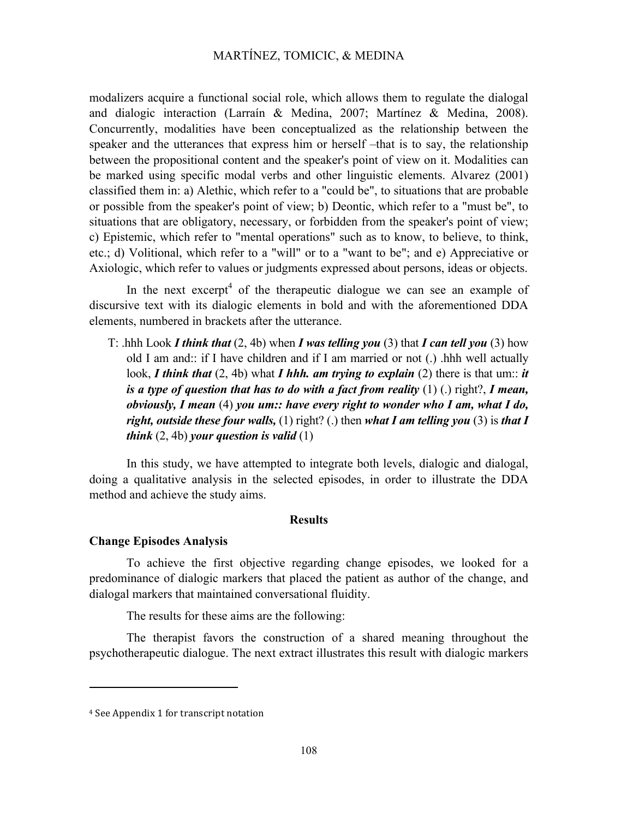modalizers acquire a functional social role, which allows them to regulate the dialogal and dialogic interaction (Larraín & Medina, 2007; Martínez & Medina, 2008). Concurrently, modalities have been conceptualized as the relationship between the speaker and the utterances that express him or herself –that is to say, the relationship between the propositional content and the speaker's point of view on it. Modalities can be marked using specific modal verbs and other linguistic elements. Alvarez (2001) classified them in: a) Alethic, which refer to a "could be", to situations that are probable or possible from the speaker's point of view; b) Deontic, which refer to a "must be", to situations that are obligatory, necessary, or forbidden from the speaker's point of view; c) Epistemic, which refer to "mental operations" such as to know, to believe, to think, etc.; d) Volitional, which refer to a "will" or to a "want to be"; and e) Appreciative or Axiologic, which refer to values or judgments expressed about persons, ideas or objects.

In the next excerpt<sup>4</sup> of the therapeutic dialogue we can see an example of discursive text with its dialogic elements in bold and with the aforementioned DDA elements, numbered in brackets after the utterance.

T: .hhh Look *I think that* (2, 4b) when *I was telling you* (3) that *I can tell you* (3) how old I am and:: if I have children and if I am married or not (.) .hhh well actually look, *I think that* (2, 4b) what *I hhh. am trying to explain* (2) there is that um:: *it is a type of question that has to do with a fact from reality* (1) (.) right?, *I mean, obviously, I mean* (4) *you um:: have every right to wonder who I am, what I do, right, outside these four walls,* (1) right? (.) then *what I am telling you* (3) is *that I think* (2, 4b) *your question is valid* (1)

In this study, we have attempted to integrate both levels, dialogic and dialogal, doing a qualitative analysis in the selected episodes, in order to illustrate the DDA method and achieve the study aims.

### **Results**

### **Change Episodes Analysis**

To achieve the first objective regarding change episodes, we looked for a predominance of dialogic markers that placed the patient as author of the change, and dialogal markers that maintained conversational fluidity.

The results for these aims are the following:

The therapist favors the construction of a shared meaning throughout the psychotherapeutic dialogue. The next extract illustrates this result with dialogic markers

-

<sup>&</sup>lt;sup>4</sup> See Appendix 1 for transcript notation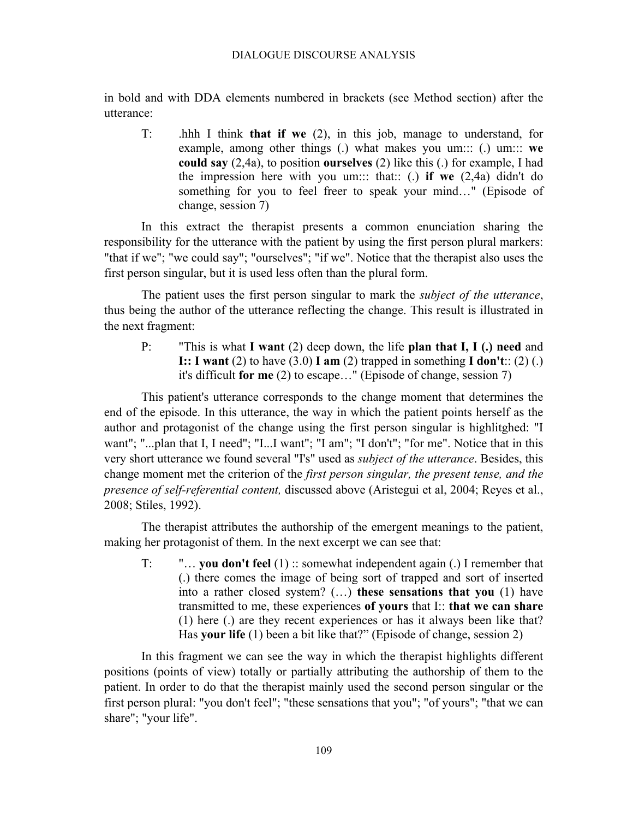in bold and with DDA elements numbered in brackets (see Method section) after the utterance:

T: .hhh I think **that if we** (2), in this job, manage to understand, for example, among other things (.) what makes you um::: (.) um::: **we could say** (2,4a), to position **ourselves** (2) like this (.) for example, I had the impression here with you um::: that:: (.) **if we** (2,4a) didn't do something for you to feel freer to speak your mind…" (Episode of change, session 7)

In this extract the therapist presents a common enunciation sharing the responsibility for the utterance with the patient by using the first person plural markers: "that if we"; "we could say"; "ourselves"; "if we". Notice that the therapist also uses the first person singular, but it is used less often than the plural form.

The patient uses the first person singular to mark the *subject of the utterance*, thus being the author of the utterance reflecting the change. This result is illustrated in the next fragment:

P: "This is what **I want** (2) deep down, the life **plan that I, I (.) need** and **I:: I want** (2) to have (3.0) **I** am (2) trapped in something **I don't**:: (2) (.) it's difficult **for me** (2) to escape…" (Episode of change, session 7)

This patient's utterance corresponds to the change moment that determines the end of the episode. In this utterance, the way in which the patient points herself as the author and protagonist of the change using the first person singular is highlitghed: "I want"; "...plan that I, I need"; "I...I want"; "I am"; "I don't"; "for me". Notice that in this very short utterance we found several "I's" used as *subject of the utterance*. Besides, this change moment met the criterion of the *first person singular, the present tense, and the presence of self-referential content,* discussed above (Aristegui et al, 2004; Reyes et al., 2008; Stiles, 1992).

The therapist attributes the authorship of the emergent meanings to the patient, making her protagonist of them. In the next excerpt we can see that:

T: "… **you don't feel** (1) :: somewhat independent again (.) I remember that (.) there comes the image of being sort of trapped and sort of inserted into a rather closed system? (…) **these sensations that you** (1) have transmitted to me, these experiences **of yours** that I:: **that we can share** (1) here (.) are they recent experiences or has it always been like that? Has **your life** (1) been a bit like that?" (Episode of change, session 2)

In this fragment we can see the way in which the therapist highlights different positions (points of view) totally or partially attributing the authorship of them to the patient. In order to do that the therapist mainly used the second person singular or the first person plural: "you don't feel"; "these sensations that you"; "of yours"; "that we can share"; "your life".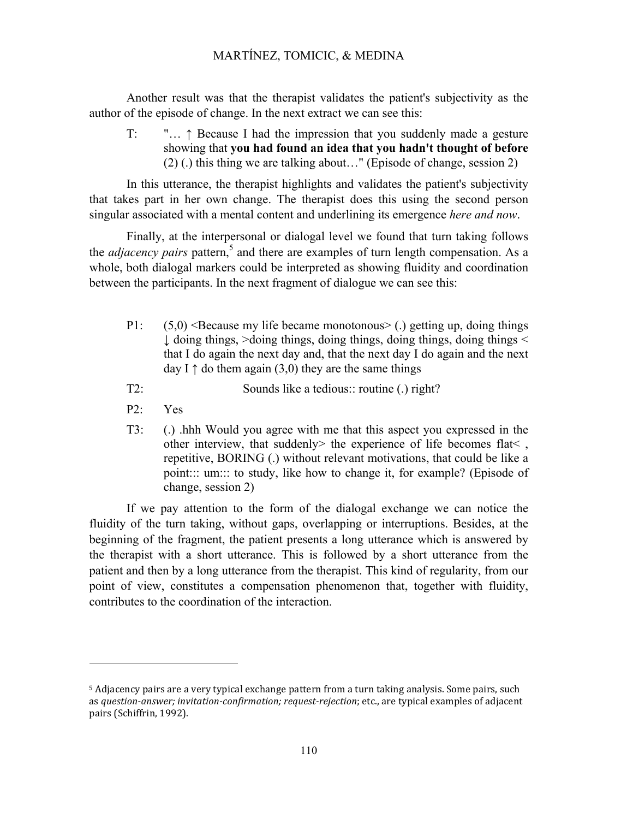Another result was that the therapist validates the patient's subjectivity as the author of the episode of change. In the next extract we can see this:

T: "… ↑ Because I had the impression that you suddenly made a gesture showing that **you had found an idea that you hadn't thought of before** (2) (.) this thing we are talking about…" (Episode of change, session 2)

In this utterance, the therapist highlights and validates the patient's subjectivity that takes part in her own change. The therapist does this using the second person singular associated with a mental content and underlining its emergence *here and now*.

Finally, at the interpersonal or dialogal level we found that turn taking follows the *adjacency pairs* pattern,<sup>5</sup> and there are examples of turn length compensation. As a whole, both dialogal markers could be interpreted as showing fluidity and coordination between the participants. In the next fragment of dialogue we can see this:

- P1:  $(5,0)$  <Because my life became monotonous> (.) getting up, doing things  $\downarrow$  doing things,  $>$  doing things, doing things, doing things  $\leq$ that I do again the next day and, that the next day I do again and the next day I  $\uparrow$  do them again (3,0) they are the same things
- T2: Sounds like a tedious:: routine (.) right?
- P2: Yes

j

T3: (.) .hhh Would you agree with me that this aspect you expressed in the other interview, that suddenly> the experience of life becomes flat< , repetitive, BORING (.) without relevant motivations, that could be like a point::: um::: to study, like how to change it, for example? (Episode of change, session 2)

If we pay attention to the form of the dialogal exchange we can notice the fluidity of the turn taking, without gaps, overlapping or interruptions. Besides, at the beginning of the fragment, the patient presents a long utterance which is answered by the therapist with a short utterance. This is followed by a short utterance from the patient and then by a long utterance from the therapist. This kind of regularity, from our point of view, constitutes a compensation phenomenon that, together with fluidity, contributes to the coordination of the interaction.

<sup>&</sup>lt;sup>5</sup> Adjacency pairs are a very typical exchange pattern from a turn taking analysis. Some pairs, such as *question-answer;* invitation-confirmation; request-rejection; etc., are typical examples of adjacent pairs (Schiffrin, 1992).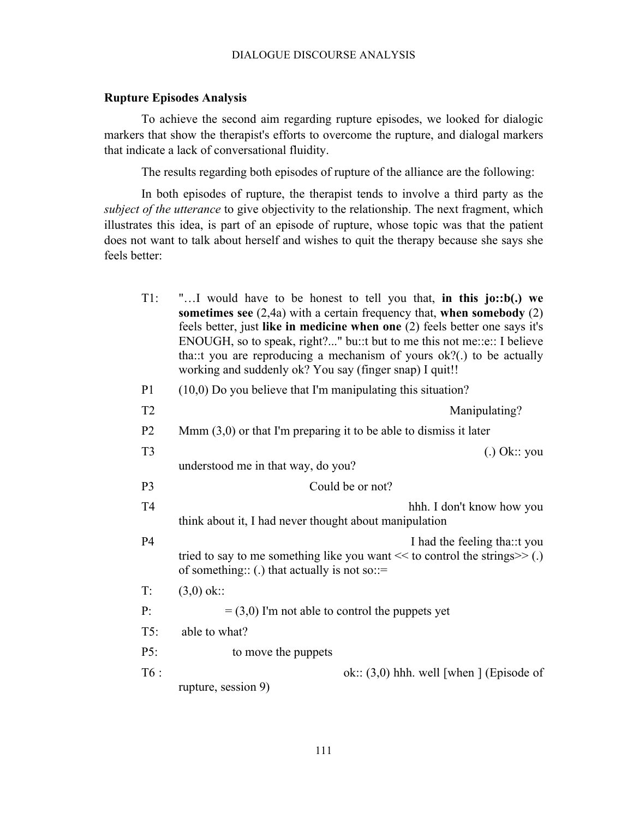## **Rupture Episodes Analysis**

To achieve the second aim regarding rupture episodes, we looked for dialogic markers that show the therapist's efforts to overcome the rupture, and dialogal markers that indicate a lack of conversational fluidity.

The results regarding both episodes of rupture of the alliance are the following:

In both episodes of rupture, the therapist tends to involve a third party as the *subject of the utterance* to give objectivity to the relationship. The next fragment, which illustrates this idea, is part of an episode of rupture, whose topic was that the patient does not want to talk about herself and wishes to quit the therapy because she says she feels better:

| $T1$ :         | "I would have to be honest to tell you that, in this jo::b(.) we<br>sometimes see $(2,4a)$ with a certain frequency that, when somebody $(2)$<br>feels better, just like in medicine when one (2) feels better one says it's<br>ENOUGH, so to speak, right?" bu::t but to me this not me::e:: I believe<br>tha: t you are reproducing a mechanism of yours ok?(.) to be actually<br>working and suddenly ok? You say (finger snap) I quit!! |
|----------------|---------------------------------------------------------------------------------------------------------------------------------------------------------------------------------------------------------------------------------------------------------------------------------------------------------------------------------------------------------------------------------------------------------------------------------------------|
| P <sub>1</sub> | $(10,0)$ Do you believe that I'm manipulating this situation?                                                                                                                                                                                                                                                                                                                                                                               |
| T <sub>2</sub> | Manipulating?                                                                                                                                                                                                                                                                                                                                                                                                                               |
| P <sub>2</sub> | Mmm $(3,0)$ or that I'm preparing it to be able to dismiss it later                                                                                                                                                                                                                                                                                                                                                                         |
| T <sub>3</sub> | $(.)$ Ok:: you<br>understood me in that way, do you?                                                                                                                                                                                                                                                                                                                                                                                        |
| P <sub>3</sub> | Could be or not?                                                                                                                                                                                                                                                                                                                                                                                                                            |
| T <sub>4</sub> | hhh. I don't know how you<br>think about it, I had never thought about manipulation                                                                                                                                                                                                                                                                                                                                                         |
| <b>P4</b>      | I had the feeling tha: t you<br>tried to say to me something like you want $<<$ to control the strings $>>$ (.)<br>of something:: (.) that actually is not so::=                                                                                                                                                                                                                                                                            |
| T:             | $(3,0)$ ok::                                                                                                                                                                                                                                                                                                                                                                                                                                |
| P:             | $=$ (3,0) I'm not able to control the puppets yet                                                                                                                                                                                                                                                                                                                                                                                           |
| T5:            | able to what?                                                                                                                                                                                                                                                                                                                                                                                                                               |
| P5:            | to move the puppets                                                                                                                                                                                                                                                                                                                                                                                                                         |
| T6:            | ok:: $(3,0)$ hhh. well [when ] (Episode of<br>rupture, session 9)                                                                                                                                                                                                                                                                                                                                                                           |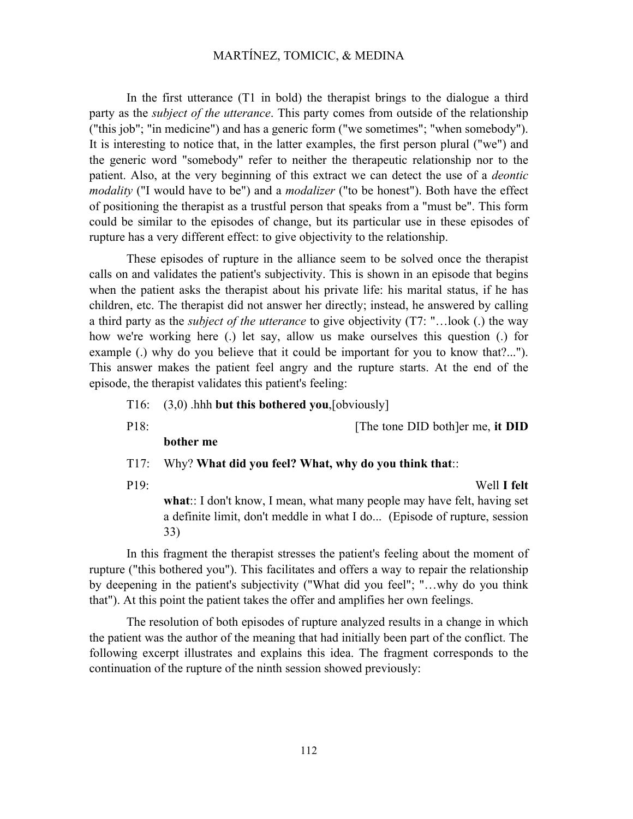In the first utterance (T1 in bold) the therapist brings to the dialogue a third party as the *subject of the utterance*. This party comes from outside of the relationship ("this job"; "in medicine") and has a generic form ("we sometimes"; "when somebody"). It is interesting to notice that, in the latter examples, the first person plural ("we") and the generic word "somebody" refer to neither the therapeutic relationship nor to the patient. Also, at the very beginning of this extract we can detect the use of a *deontic modality* ("I would have to be") and a *modalizer* ("to be honest"). Both have the effect of positioning the therapist as a trustful person that speaks from a "must be". This form could be similar to the episodes of change, but its particular use in these episodes of rupture has a very different effect: to give objectivity to the relationship.

These episodes of rupture in the alliance seem to be solved once the therapist calls on and validates the patient's subjectivity. This is shown in an episode that begins when the patient asks the therapist about his private life: his marital status, if he has children, etc. The therapist did not answer her directly; instead, he answered by calling a third party as the *subject of the utterance* to give objectivity (T7: "…look (.) the way how we're working here (.) let say, allow us make ourselves this question (.) for example (.) why do you believe that it could be important for you to know that?..."). This answer makes the patient feel angry and the rupture starts. At the end of the episode, the therapist validates this patient's feeling:

T16: (3,0) .hhh **but this bothered you**,[obviously]

P18: [The tone DID both]er me, **it DID** 

**bother me**

## T17: Why? **What did you feel? What, why do you think that**::

P19: Well **I felt** 

**what**:: I don't know, I mean, what many people may have felt, having set a definite limit, don't meddle in what I do... (Episode of rupture, session 33)

In this fragment the therapist stresses the patient's feeling about the moment of rupture ("this bothered you"). This facilitates and offers a way to repair the relationship by deepening in the patient's subjectivity ("What did you feel"; "…why do you think that"). At this point the patient takes the offer and amplifies her own feelings.

The resolution of both episodes of rupture analyzed results in a change in which the patient was the author of the meaning that had initially been part of the conflict. The following excerpt illustrates and explains this idea. The fragment corresponds to the continuation of the rupture of the ninth session showed previously: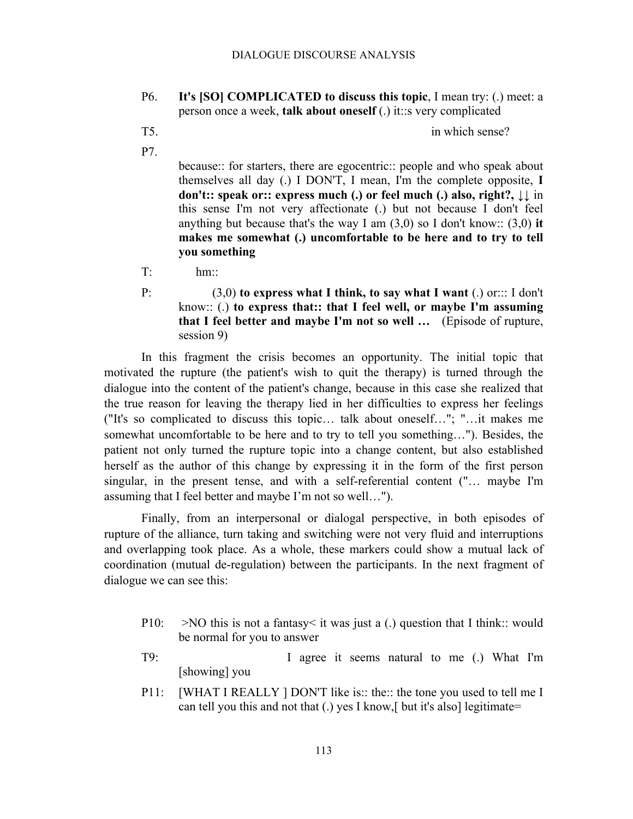- P6. **It's [SO] COMPLICATED to discuss this topic**, I mean try: (.) meet: a person once a week, **talk about oneself** (.) it::s very complicated
- 

T5. in which sense?

P7.

because:: for starters, there are egocentric:: people and who speak about themselves all day (.) I DON'T, I mean, I'm the complete opposite, **I don't:: speak or:: express much (.) or feel much (.) also, right?,** ↓↓ in this sense I'm not very affectionate (.) but not because I don't feel anything but because that's the way I am (3,0) so I don't know:: (3,0) **it makes me somewhat (.) uncomfortable to be here and to try to tell you something**

T: hm::

P: (3,0) **to express what I think, to say what I want** (.) or::: I don't know:: (.) **to express that:: that I feel well, or maybe I'm assuming that I feel better and maybe I'm not so well …** (Episode of rupture, session 9)

In this fragment the crisis becomes an opportunity. The initial topic that motivated the rupture (the patient's wish to quit the therapy) is turned through the dialogue into the content of the patient's change, because in this case she realized that the true reason for leaving the therapy lied in her difficulties to express her feelings ("It's so complicated to discuss this topic… talk about oneself…"; "…it makes me somewhat uncomfortable to be here and to try to tell you something…"). Besides, the patient not only turned the rupture topic into a change content, but also established herself as the author of this change by expressing it in the form of the first person singular, in the present tense, and with a self-referential content ("… maybe I'm assuming that I feel better and maybe I'm not so well…").

Finally, from an interpersonal or dialogal perspective, in both episodes of rupture of the alliance, turn taking and switching were not very fluid and interruptions and overlapping took place. As a whole, these markers could show a mutual lack of coordination (mutual de-regulation) between the participants. In the next fragment of dialogue we can see this:

- P10:  $>$ NO this is not a fantasy it was just a (.) question that I think: would be normal for you to answer
- T9: I agree it seems natural to me (.) What I'm [showing] you
- P11: [WHAT I REALLY ] DON'T like is:: the:: the tone you used to tell me I can tell you this and not that (.) yes I know,[ but it's also] legitimate=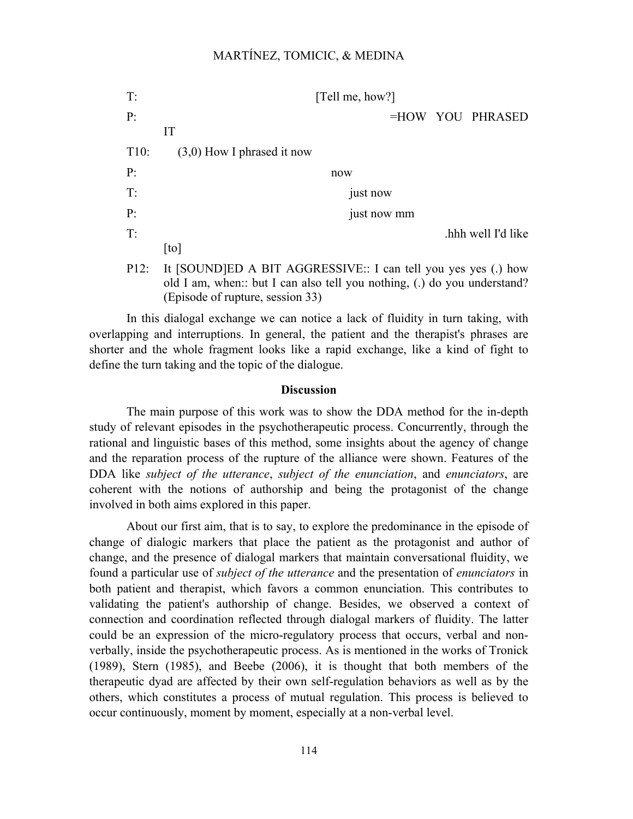| T:   | [Tell me, how?]                                                                                                                                                               |
|------|-------------------------------------------------------------------------------------------------------------------------------------------------------------------------------|
| P:   | =HOW YOU PHRASED                                                                                                                                                              |
|      | IT                                                                                                                                                                            |
| T10: | $(3,0)$ How I phrased it now                                                                                                                                                  |
| P:   | now                                                                                                                                                                           |
| T:   | just now                                                                                                                                                                      |
| P:   | just now mm                                                                                                                                                                   |
| T:   | hhh well I'd like                                                                                                                                                             |
|      | [t <sub>o</sub> ]                                                                                                                                                             |
| P12: | It [SOUND]ED A BIT AGGRESSIVE:: I can tell you yes yes (.) how<br>old I am, when: but I can also tell you nothing, (.) do you understand?<br>(Episode of rupture, session 33) |

In this dialogal exchange we can notice a lack of fluidity in turn taking, with overlapping and interruptions. In general, the patient and the therapist's phrases are shorter and the whole fragment looks like a rapid exchange, like a kind of fight to define the turn taking and the topic of the dialogue.

#### **Discussion**

The main purpose of this work was to show the DDA method for the in-depth study of relevant episodes in the psychotherapeutic process. Concurrently, through the rational and linguistic bases of this method, some insights about the agency of change and the reparation process of the rupture of the alliance were shown. Features of the DDA like *subject of the utterance*, *subject of the enunciation*, and *enunciators*, are coherent with the notions of authorship and being the protagonist of the change involved in both aims explored in this paper.

About our first aim, that is to say, to explore the predominance in the episode of change of dialogic markers that place the patient as the protagonist and author of change, and the presence of dialogal markers that maintain conversational fluidity, we found a particular use of *subject of the utterance* and the presentation of *enunciators* in both patient and therapist, which favors a common enunciation. This contributes to validating the patient's authorship of change. Besides, we observed a context of connection and coordination reflected through dialogal markers of fluidity. The latter could be an expression of the micro-regulatory process that occurs, verbal and nonverbally, inside the psychotherapeutic process. As is mentioned in the works of Tronick (1989), Stern (1985), and Beebe (2006), it is thought that both members of the therapeutic dyad are affected by their own self-regulation behaviors as well as by the others, which constitutes a process of mutual regulation. This process is believed to occur continuously, moment by moment, especially at a non-verbal level.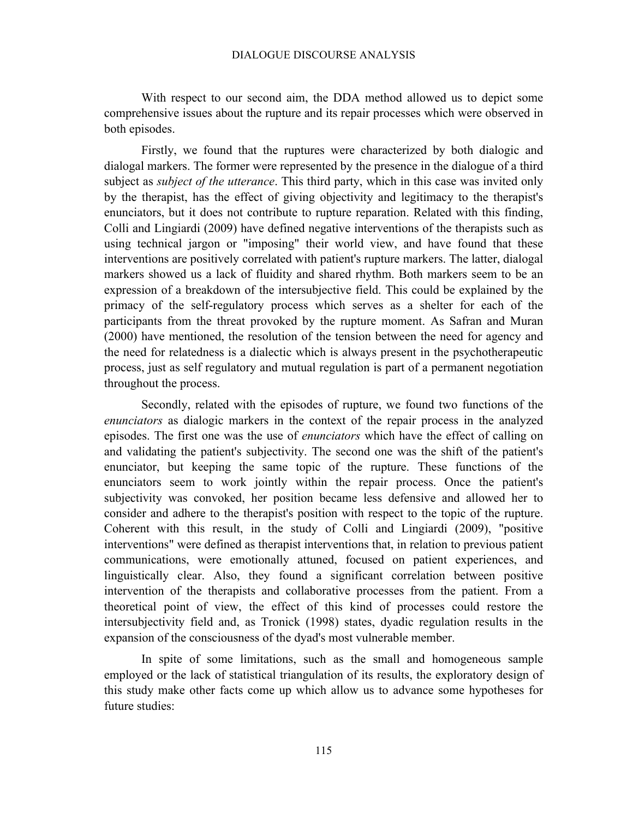With respect to our second aim, the DDA method allowed us to depict some comprehensive issues about the rupture and its repair processes which were observed in both episodes.

Firstly, we found that the ruptures were characterized by both dialogic and dialogal markers. The former were represented by the presence in the dialogue of a third subject as *subject of the utterance*. This third party, which in this case was invited only by the therapist, has the effect of giving objectivity and legitimacy to the therapist's enunciators, but it does not contribute to rupture reparation. Related with this finding, Colli and Lingiardi (2009) have defined negative interventions of the therapists such as using technical jargon or "imposing" their world view, and have found that these interventions are positively correlated with patient's rupture markers. The latter, dialogal markers showed us a lack of fluidity and shared rhythm. Both markers seem to be an expression of a breakdown of the intersubjective field. This could be explained by the primacy of the self-regulatory process which serves as a shelter for each of the participants from the threat provoked by the rupture moment. As Safran and Muran (2000) have mentioned, the resolution of the tension between the need for agency and the need for relatedness is a dialectic which is always present in the psychotherapeutic process, just as self regulatory and mutual regulation is part of a permanent negotiation throughout the process.

Secondly, related with the episodes of rupture, we found two functions of the *enunciators* as dialogic markers in the context of the repair process in the analyzed episodes. The first one was the use of *enunciators* which have the effect of calling on and validating the patient's subjectivity. The second one was the shift of the patient's enunciator, but keeping the same topic of the rupture. These functions of the enunciators seem to work jointly within the repair process. Once the patient's subjectivity was convoked, her position became less defensive and allowed her to consider and adhere to the therapist's position with respect to the topic of the rupture. Coherent with this result, in the study of Colli and Lingiardi (2009), "positive interventions" were defined as therapist interventions that, in relation to previous patient communications, were emotionally attuned, focused on patient experiences, and linguistically clear. Also, they found a significant correlation between positive intervention of the therapists and collaborative processes from the patient. From a theoretical point of view, the effect of this kind of processes could restore the intersubjectivity field and, as Tronick (1998) states, dyadic regulation results in the expansion of the consciousness of the dyad's most vulnerable member.

In spite of some limitations, such as the small and homogeneous sample employed or the lack of statistical triangulation of its results, the exploratory design of this study make other facts come up which allow us to advance some hypotheses for future studies: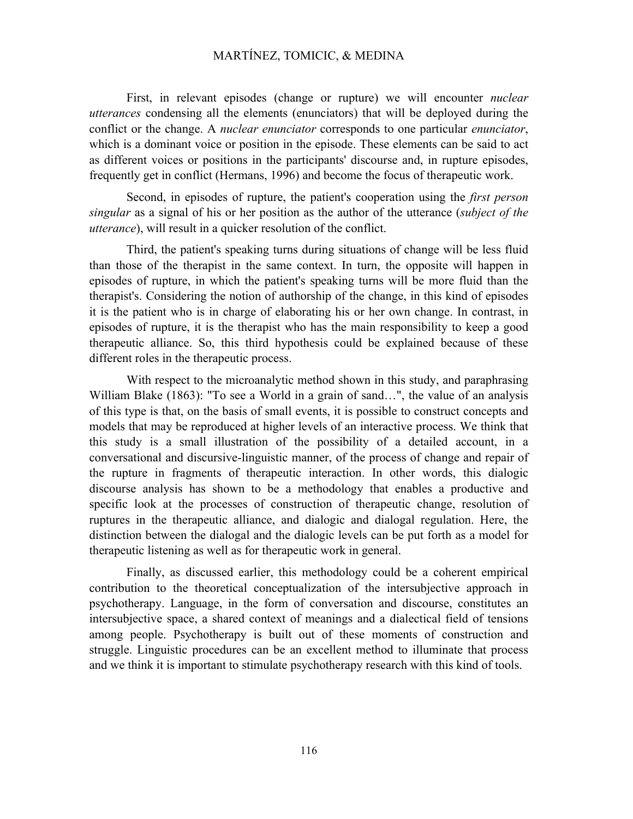First, in relevant episodes (change or rupture) we will encounter *nuclear utterances* condensing all the elements (enunciators) that will be deployed during the conflict or the change. A *nuclear enunciator* corresponds to one particular *enunciator*, which is a dominant voice or position in the episode. These elements can be said to act as different voices or positions in the participants' discourse and, in rupture episodes, frequently get in conflict (Hermans, 1996) and become the focus of therapeutic work.

Second, in episodes of rupture, the patient's cooperation using the *first person singular* as a signal of his or her position as the author of the utterance (*subject of the utterance*), will result in a quicker resolution of the conflict.

Third, the patient's speaking turns during situations of change will be less fluid than those of the therapist in the same context. In turn, the opposite will happen in episodes of rupture, in which the patient's speaking turns will be more fluid than the therapist's. Considering the notion of authorship of the change, in this kind of episodes it is the patient who is in charge of elaborating his or her own change. In contrast, in episodes of rupture, it is the therapist who has the main responsibility to keep a good therapeutic alliance. So, this third hypothesis could be explained because of these different roles in the therapeutic process.

With respect to the microanalytic method shown in this study, and paraphrasing William Blake (1863): "To see a World in a grain of sand...", the value of an analysis of this type is that, on the basis of small events, it is possible to construct concepts and models that may be reproduced at higher levels of an interactive process. We think that this study is a small illustration of the possibility of a detailed account, in a conversational and discursive-linguistic manner, of the process of change and repair of the rupture in fragments of therapeutic interaction. In other words, this dialogic discourse analysis has shown to be a methodology that enables a productive and specific look at the processes of construction of therapeutic change, resolution of ruptures in the therapeutic alliance, and dialogic and dialogal regulation. Here, the distinction between the dialogal and the dialogic levels can be put forth as a model for therapeutic listening as well as for therapeutic work in general.

Finally, as discussed earlier, this methodology could be a coherent empirical contribution to the theoretical conceptualization of the intersubjective approach in psychotherapy. Language, in the form of conversation and discourse, constitutes an intersubjective space, a shared context of meanings and a dialectical field of tensions among people. Psychotherapy is built out of these moments of construction and struggle. Linguistic procedures can be an excellent method to illuminate that process and we think it is important to stimulate psychotherapy research with this kind of tools.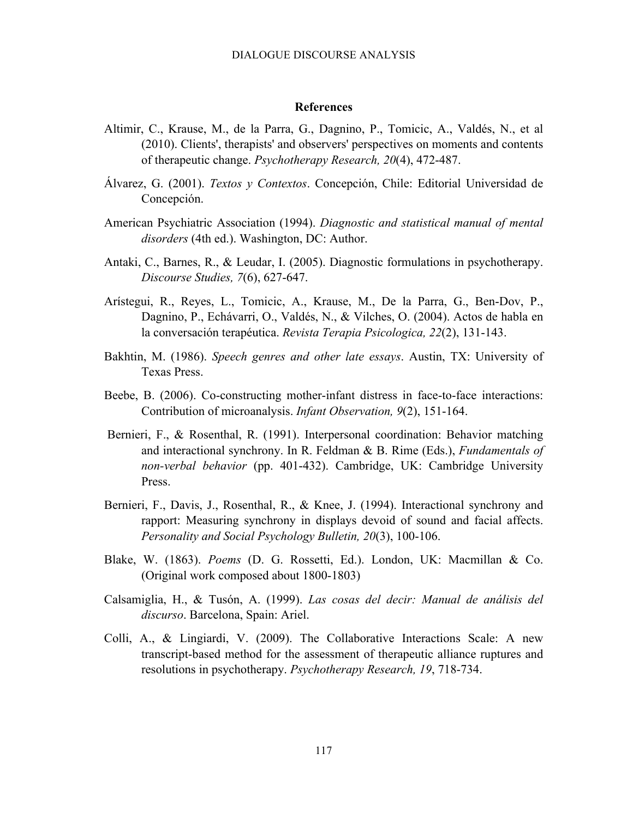#### **References**

- Altimir, C., Krause, M., de la Parra, G., Dagnino, P., Tomicic, A., Valdés, N., et al (2010). Clients', therapists' and observers' perspectives on moments and contents of therapeutic change. *Psychotherapy Research, 20*(4), 472-487.
- Álvarez, G. (2001). *Textos y Contextos*. Concepción, Chile: Editorial Universidad de Concepción.
- American Psychiatric Association (1994). *Diagnostic and statistical manual of mental disorders* (4th ed.). Washington, DC: Author.
- Antaki, C., Barnes, R., & Leudar, I. (2005). Diagnostic formulations in psychotherapy. *Discourse Studies, 7*(6), 627-647.
- Arístegui, R., Reyes, L., Tomicic, A., Krause, M., De la Parra, G., Ben-Dov, P., Dagnino, P., Echávarri, O., Valdés, N., & Vilches, O. (2004). Actos de habla en la conversación terapéutica. *Revista Terapia Psicologica, 22*(2), 131-143.
- Bakhtin, M. (1986). *Speech genres and other late essays*. Austin, TX: University of Texas Press.
- Beebe, B. (2006). Co-constructing mother-infant distress in face-to-face interactions: Contribution of microanalysis. *Infant Observation, 9*(2), 151-164.
- Bernieri, F., & Rosenthal, R. (1991). Interpersonal coordination: Behavior matching and interactional synchrony. In R. Feldman & B. Rime (Eds.), *Fundamentals of non-verbal behavior* (pp. 401-432). Cambridge, UK: Cambridge University Press.
- Bernieri, F., Davis, J., Rosenthal, R., & Knee, J. (1994). Interactional synchrony and rapport: Measuring synchrony in displays devoid of sound and facial affects. *Personality and Social Psychology Bulletin, 20*(3), 100-106.
- Blake, W. (1863). *Poems* (D. G. Rossetti, Ed.). London, UK: Macmillan & Co. (Original work composed about 1800-1803)
- Calsamiglia, H., & Tusón, A. (1999). *Las cosas del decir: Manual de análisis del discurso*. Barcelona, Spain: Ariel.
- Colli, A., & Lingiardi, V. (2009). The Collaborative Interactions Scale: A new transcript-based method for the assessment of therapeutic alliance ruptures and resolutions in psychotherapy. *Psychotherapy Research, 19*, 718-734.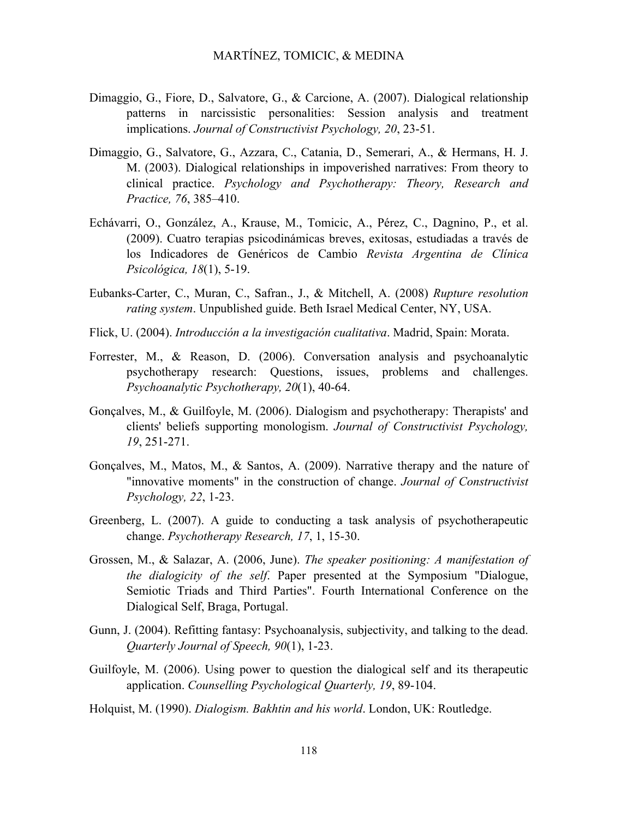- Dimaggio, G., Fiore, D., Salvatore, G., & Carcione, A. (2007). Dialogical relationship patterns in narcissistic personalities: Session analysis and treatment implications. *Journal of Constructivist Psychology, 20*, 23-51.
- Dimaggio, G., Salvatore, G., Azzara, C., Catania, D., Semerari, A., & Hermans, H. J. M. (2003). Dialogical relationships in impoverished narratives: From theory to clinical practice. *Psychology and Psychotherapy: Theory, Research and Practice, 76*, 385–410.
- Echávarri, O., González, A., Krause, M., Tomicic, A., Pérez, C., Dagnino, P., et al. (2009). Cuatro terapias psicodinámicas breves, exitosas, estudiadas a través de los Indicadores de Genéricos de Cambio *Revista Argentina de Clínica Psicológica, 18*(1), 5-19.
- Eubanks-Carter, C., Muran, C., Safran., J., & Mitchell, A. (2008) *Rupture resolution rating system*. Unpublished guide. Beth Israel Medical Center, NY, USA.
- Flick, U. (2004). *Introducción a la investigación cualitativa*. Madrid, Spain: Morata.
- Forrester, M., & Reason, D. (2006). Conversation analysis and psychoanalytic psychotherapy research: Questions, issues, problems and challenges. *Psychoanalytic Psychotherapy, 20*(1), 40-64.
- Gonçalves, M., & Guilfoyle, M. (2006). Dialogism and psychotherapy: Therapists' and clients' beliefs supporting monologism. *Journal of Constructivist Psychology, 19*, 251-271.
- Gonçalves, M., Matos, M., & Santos, A. (2009). Narrative therapy and the nature of "innovative moments" in the construction of change. *Journal of Constructivist Psychology, 22*, 1-23.
- Greenberg, L. (2007). A guide to conducting a task analysis of psychotherapeutic change. *Psychotherapy Research, 17*, 1, 15-30.
- Grossen, M., & Salazar, A. (2006, June). *The speaker positioning: A manifestation of the dialogicity of the self*. Paper presented at the Symposium "Dialogue, Semiotic Triads and Third Parties". Fourth International Conference on the Dialogical Self, Braga, Portugal.
- Gunn, J. (2004). Refitting fantasy: Psychoanalysis, subjectivity, and talking to the dead. *Quarterly Journal of Speech, 90*(1), 1-23.
- Guilfoyle, M. (2006). Using power to question the dialogical self and its therapeutic application. *Counselling Psychological Quarterly, 19*, 89-104.
- Holquist, M. (1990). *Dialogism. Bakhtin and his world*. London, UK: Routledge.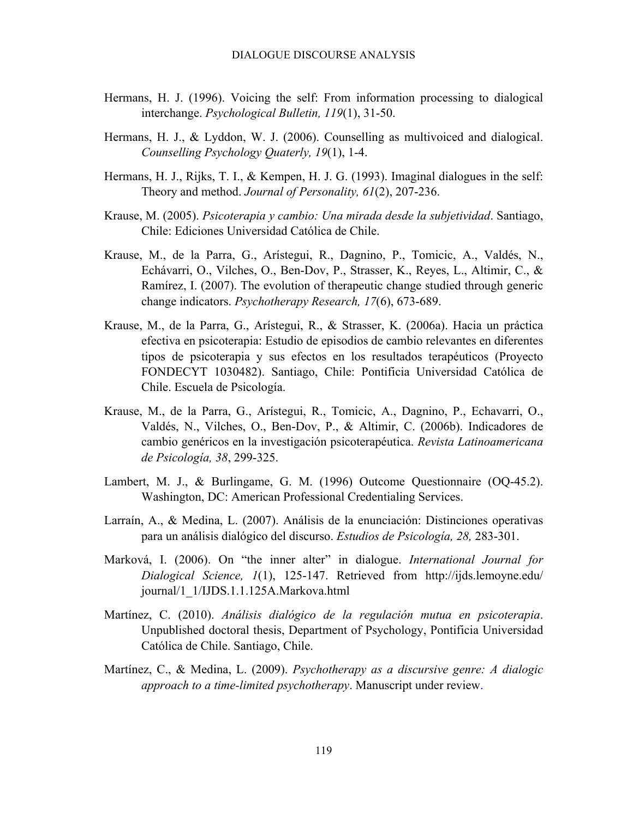- Hermans, H. J. (1996). Voicing the self: From information processing to dialogical interchange. *Psychological Bulletin, 119*(1), 31-50.
- Hermans, H. J., & Lyddon, W. J. (2006). Counselling as multivoiced and dialogical. *Counselling Psychology Quaterly, 19*(1), 1-4.
- Hermans, H. J., Rijks, T. I., & Kempen, H. J. G. (1993). Imaginal dialogues in the self: Theory and method. *Journal of Personality, 61*(2), 207-236.
- Krause, M. (2005). *Psicoterapia y cambio: Una mirada desde la subjetividad*. Santiago, Chile: Ediciones Universidad Católica de Chile.
- Krause, M., de la Parra, G., Arístegui, R., Dagnino, P., Tomicic, A., Valdés, N., Echávarri, O., Vilches, O., Ben-Dov, P., Strasser, K., Reyes, L., Altimir, C., & Ramírez, I. (2007). The evolution of therapeutic change studied through generic change indicators. *Psychotherapy Research, 17*(6), 673-689.
- Krause, M., de la Parra, G., Arístegui, R., & Strasser, K. (2006a). Hacia un práctica efectiva en psicoterapia: Estudio de episodios de cambio relevantes en diferentes tipos de psicoterapia y sus efectos en los resultados terapéuticos (Proyecto FONDECYT 1030482). Santiago, Chile: Pontificia Universidad Católica de Chile. Escuela de Psicología.
- Krause, M., de la Parra, G., Arístegui, R., Tomicic, A., Dagnino, P., Echavarri, O., Valdés, N., Vilches, O., Ben-Dov, P., & Altimir, C. (2006b). Indicadores de cambio genéricos en la investigación psicoterapéutica. *Revista Latinoamericana de Psicología, 38*, 299-325.
- Lambert, M. J., & Burlingame, G. M. (1996) Outcome Questionnaire (OQ-45.2). Washington, DC: American Professional Credentialing Services.
- Larraín, A., & Medina, L. (2007). Análisis de la enunciación: Distinciones operativas para un análisis dialógico del discurso. *Estudios de Psicología, 28,* 283-301.
- Marková, I. (2006). On "the inner alter" in dialogue. *International Journal for Dialogical Science, 1*(1), 125-147. Retrieved from http://ijds.lemoyne.edu/ journal/1\_1/IJDS.1.1.125A.Markova.html
- Martínez, C. (2010). *Análisis dialógico de la regulación mutua en psicoterapia*. Unpublished doctoral thesis, Department of Psychology, Pontificia Universidad Católica de Chile. Santiago, Chile.
- Martínez, C., & Medina, L. (2009). *Psychotherapy as a discursive genre: A dialogic approach to a time-limited psychotherapy*. Manuscript under review.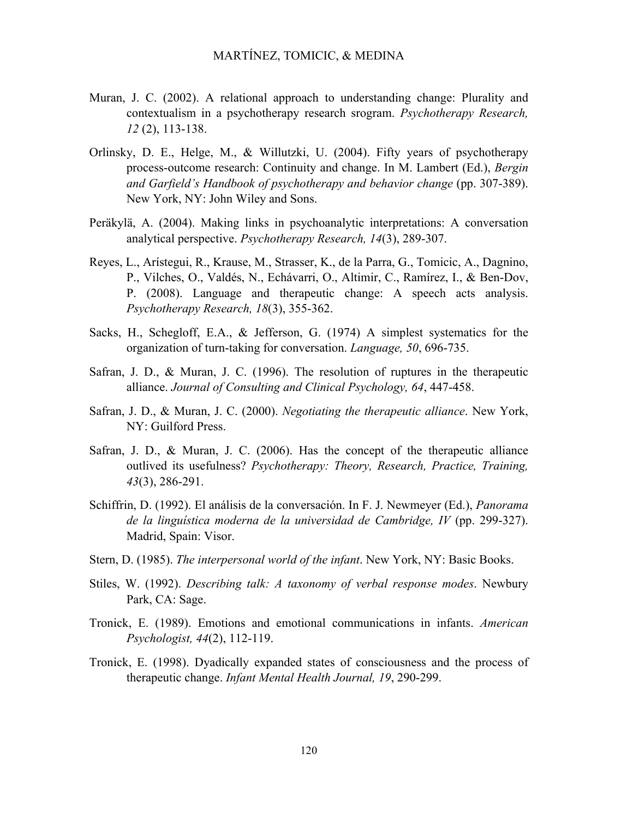- Muran, J. C. (2002). A relational approach to understanding change: Plurality and contextualism in a psychotherapy research srogram. *Psychotherapy Research, 12* (2), 113-138.
- Orlinsky, D. E., Helge, M., & Willutzki, U. (2004). Fifty years of psychotherapy process-outcome research: Continuity and change. In M. Lambert (Ed.), *Bergin and Garfield's Handbook of psychotherapy and behavior change* (pp. 307-389). New York, NY: John Wiley and Sons.
- Peräkylä, A. (2004). Making links in psychoanalytic interpretations: A conversation analytical perspective. *Psychotherapy Research, 14*(3), 289-307.
- Reyes, L., Arístegui, R., Krause, M., Strasser, K., de la Parra, G., Tomicic, A., Dagnino, P., Vilches, O., Valdés, N., Echávarri, O., Altimir, C., Ramírez, I., & Ben-Dov, P. (2008). Language and therapeutic change: A speech acts analysis. *Psychotherapy Research, 18*(3), 355-362.
- Sacks, H., Schegloff, E.A., & Jefferson, G. (1974) A simplest systematics for the organization of turn-taking for conversation. *Language, 50*, 696-735.
- Safran, J. D., & Muran, J. C. (1996). The resolution of ruptures in the therapeutic alliance. *Journal of Consulting and Clinical Psychology, 64*, 447-458.
- Safran, J. D., & Muran, J. C. (2000). *Negotiating the therapeutic alliance*. New York, NY: Guilford Press.
- Safran, J. D., & Muran, J. C. (2006). Has the concept of the therapeutic alliance outlived its usefulness? *Psychotherapy: Theory, Research, Practice, Training, 43*(3), 286-291.
- Schiffrin, D. (1992). El análisis de la conversación. In F. J. Newmeyer (Ed.), *Panorama de la linguística moderna de la universidad de Cambridge, IV* (pp. 299-327). Madrid, Spain: Visor.
- Stern, D. (1985). *The interpersonal world of the infant*. New York, NY: Basic Books.
- Stiles, W. (1992). *Describing talk: A taxonomy of verbal response modes*. Newbury Park, CA: Sage.
- Tronick, E. (1989). Emotions and emotional communications in infants. *American Psychologist, 44*(2), 112-119.
- Tronick, E. (1998). Dyadically expanded states of consciousness and the process of therapeutic change. *Infant Mental Health Journal, 19*, 290-299.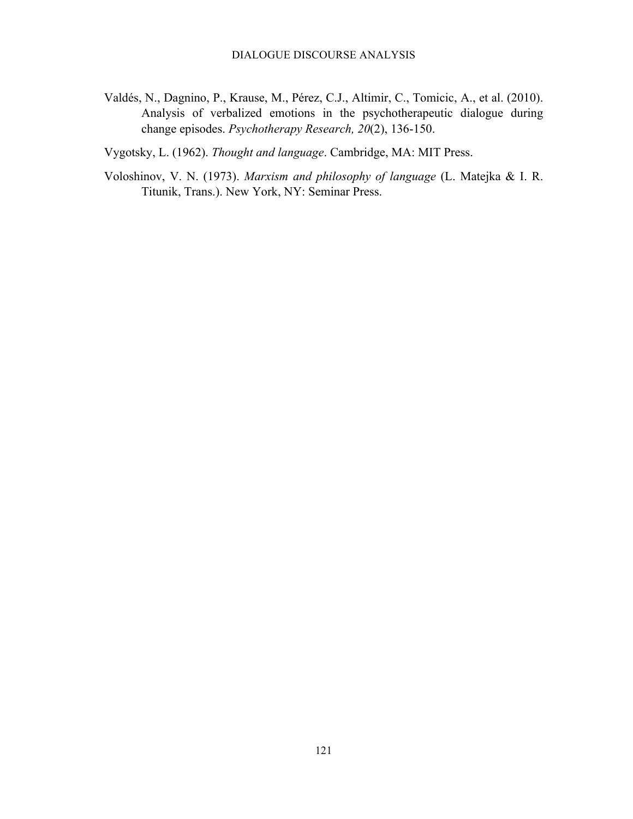- Valdés, N., Dagnino, P., Krause, M., Pérez, C.J., Altimir, C., Tomicic, A., et al. (2010). Analysis of verbalized emotions in the psychotherapeutic dialogue during change episodes. *Psychotherapy Research, 20*(2), 136-150.
- Vygotsky, L. (1962). *Thought and language*. Cambridge, MA: MIT Press.
- Voloshinov, V. N. (1973). *Marxism and philosophy of language* (L. Matejka & I. R. Titunik, Trans.). New York, NY: Seminar Press.